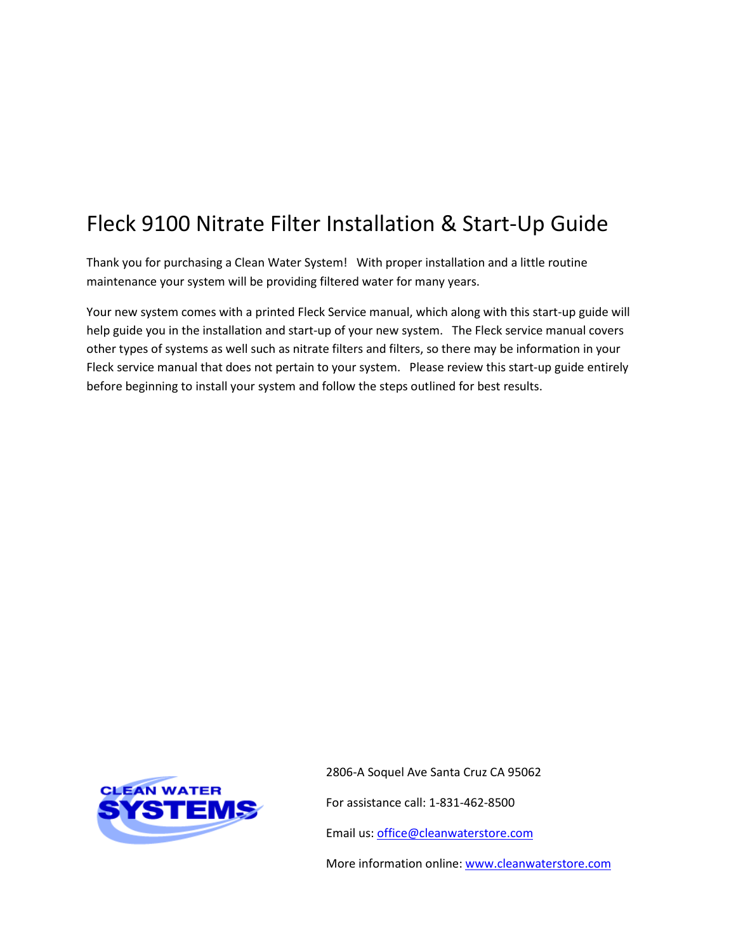# Fleck 9100 Nitrate Filter Installation & Start-Up Guide

Thank you for purchasing a Clean Water System! With proper installation and a little routine maintenance your system will be providing filtered water for many years.

Your new system comes with a printed Fleck Service manual, which along with this start-up guide will help guide you in the installation and start-up of your new system. The Fleck service manual covers other types of systems as well such as nitrate filters and filters, so there may be information in your Fleck service manual that does not pertain to your system. Please review this start-up guide entirely before beginning to install your system and follow the steps outlined for best results.



2806-A Soquel Ave Santa Cruz CA 95062 For assistance call: 1-831-462-8500

Email us: [office@cleanwaterstore.com](mailto:office@cleanwaterstore.com)

More information online: [www.cleanwaterstore.com](http://www.cleanwaterstore.com/)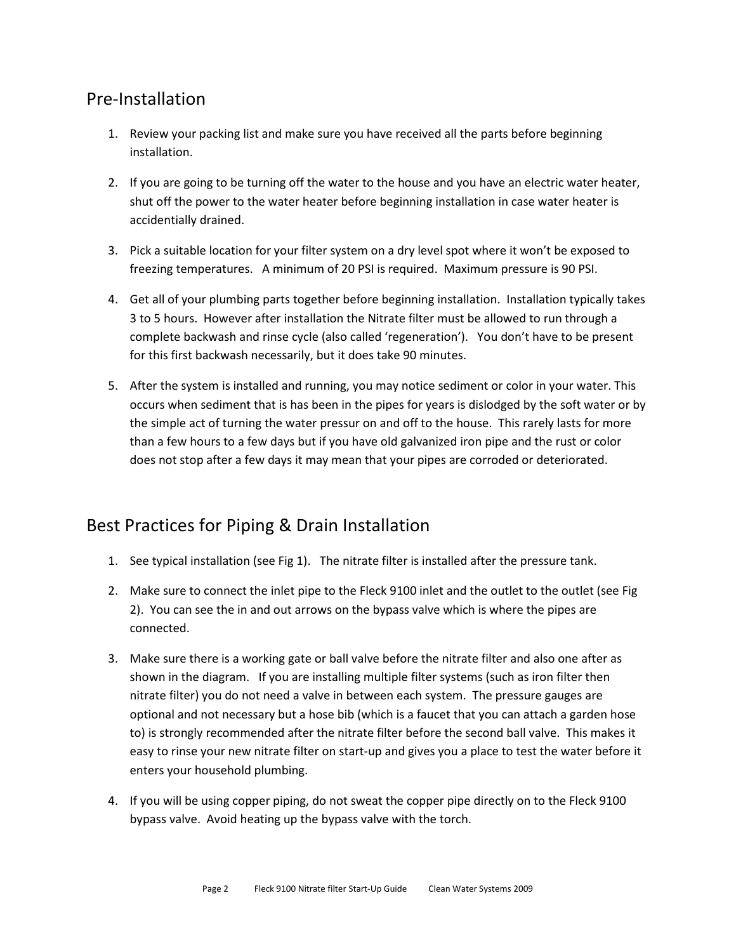## Pre-Installation

- 1. Review your packing list and make sure you have received all the parts before beginning installation.
- 2. If you are going to be turning off the water to the house and you have an electric water heater, shut off the power to the water heater before beginning installation in case water heater is accidentially drained.
- 3. Pick a suitable location for your filter system on a dry level spot where it won't be exposed to freezing temperatures. A minimum of 20 PSI is required. Maximum pressure is 90 PSI.
- 4. Get all of your plumbing parts together before beginning installation. Installation typically takes 3 to 5 hours. However after installation the Nitrate filter must be allowed to run through a complete backwash and rinse cycle (also called 'regeneration'). You don't have to be present for this first backwash necessarily, but it does take 90 minutes.
- 5. After the system is installed and running, you may notice sediment or color in your water. This occurs when sediment that is has been in the pipes for years is dislodged by the soft water or by the simple act of turning the water pressur on and off to the house. This rarely lasts for more than a few hours to a few days but if you have old galvanized iron pipe and the rust or color does not stop after a few days it may mean that your pipes are corroded or deteriorated.

## Best Practices for Piping & Drain Installation

- 1. See typical installation (see Fig 1). The nitrate filter is installed after the pressure tank.
- 2. Make sure to connect the inlet pipe to the Fleck 9100 inlet and the outlet to the outlet (see Fig 2). You can see the in and out arrows on the bypass valve which is where the pipes are connected.
- 3. Make sure there is a working gate or ball valve before the nitrate filter and also one after as shown in the diagram. If you are installing multiple filter systems (such as iron filter then nitrate filter) you do not need a valve in between each system. The pressure gauges are optional and not necessary but a hose bib (which is a faucet that you can attach a garden hose to) is strongly recommended after the nitrate filter before the second ball valve. This makes it easy to rinse your new nitrate filter on start-up and gives you a place to test the water before it enters your household plumbing.
- 4. If you will be using copper piping, do not sweat the copper pipe directly on to the Fleck 9100 bypass valve. Avoid heating up the bypass valve with the torch.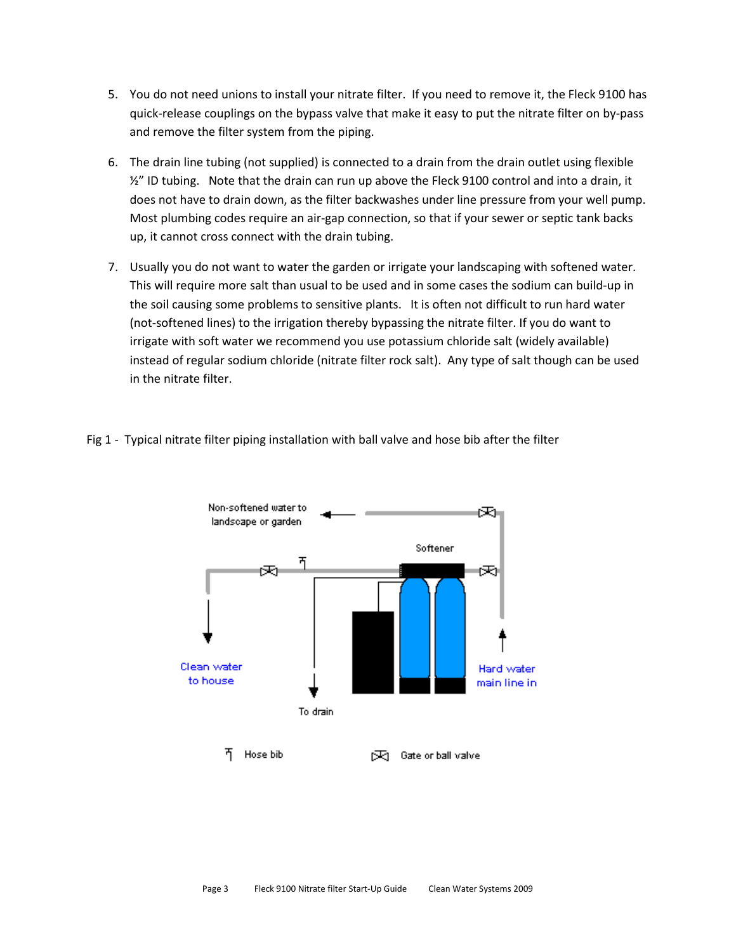- 5. You do not need unions to install your nitrate filter. If you need to remove it, the Fleck 9100 has quick-release couplings on the bypass valve that make it easy to put the nitrate filter on by-pass and remove the filter system from the piping.
- 6. The drain line tubing (not supplied) is connected to a drain from the drain outlet using flexible  $\frac{1}{2}$ " ID tubing. Note that the drain can run up above the Fleck 9100 control and into a drain, it does not have to drain down, as the filter backwashes under line pressure from your well pump. Most plumbing codes require an air-gap connection, so that if your sewer or septic tank backs up, it cannot cross connect with the drain tubing.
- 7. Usually you do not want to water the garden or irrigate your landscaping with softened water. This will require more salt than usual to be used and in some cases the sodium can build-up in the soil causing some problems to sensitive plants. It is often not difficult to run hard water (not-softened lines) to the irrigation thereby bypassing the nitrate filter. If you do want to irrigate with soft water we recommend you use potassium chloride salt (widely available) instead of regular sodium chloride (nitrate filter rock salt). Any type of salt though can be used in the nitrate filter.



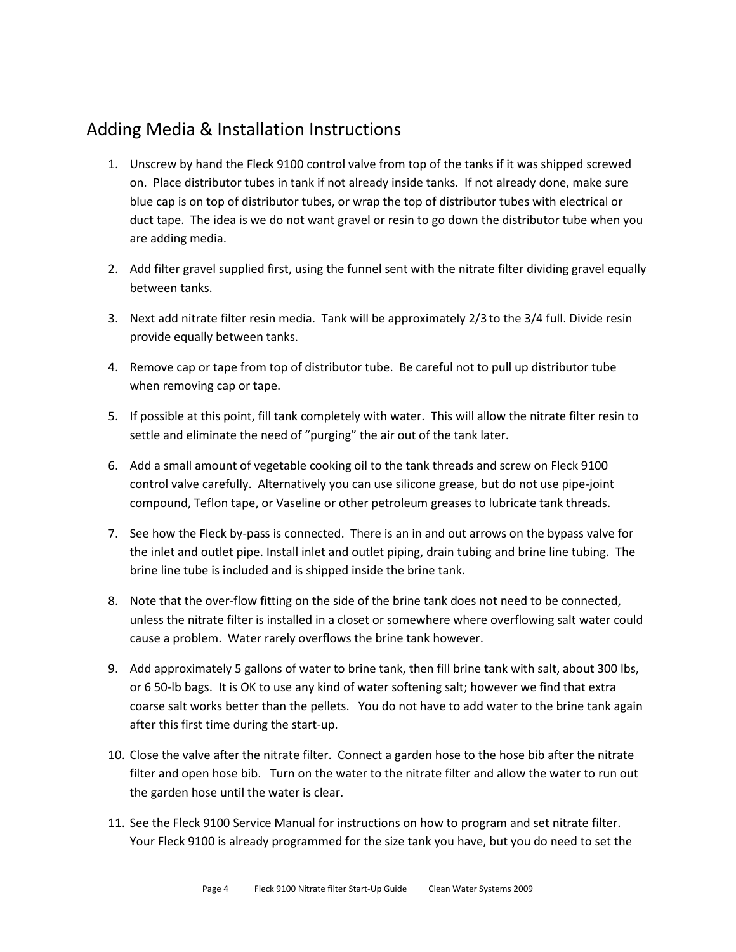#### Adding Media & Installation Instructions

- 1. Unscrew by hand the Fleck 9100 control valve from top of the tanks if it was shipped screwed on. Place distributor tubes in tank if not already inside tanks. If not already done, make sure blue cap is on top of distributor tubes, or wrap the top of distributor tubes with electrical or duct tape. The idea is we do not want gravel or resin to go down the distributor tube when you are adding media.
- 2. Add filter gravel supplied first, using the funnel sent with the nitrate filter dividing gravel equally between tanks.
- 3. Next add nitrate filter resin media. Tank will be approximately 2/3 to the 3/4 full. Divide resin provide equally between tanks.
- 4. Remove cap or tape from top of distributor tube. Be careful not to pull up distributor tube when removing cap or tape.
- 5. If possible at this point, fill tank completely with water. This will allow the nitrate filter resin to settle and eliminate the need of "purging" the air out of the tank later.
- 6. Add a small amount of vegetable cooking oil to the tank threads and screw on Fleck 9100 control valve carefully. Alternatively you can use silicone grease, but do not use pipe-joint compound, Teflon tape, or Vaseline or other petroleum greases to lubricate tank threads.
- 7. See how the Fleck by-pass is connected. There is an in and out arrows on the bypass valve for the inlet and outlet pipe. Install inlet and outlet piping, drain tubing and brine line tubing. The brine line tube is included and is shipped inside the brine tank.
- 8. Note that the over-flow fitting on the side of the brine tank does not need to be connected, unless the nitrate filter is installed in a closet or somewhere where overflowing salt water could cause a problem. Water rarely overflows the brine tank however.
- 9. Add approximately 5 gallons of water to brine tank, then fill brine tank with salt, about 300 lbs, or 6 50-lb bags. It is OK to use any kind of water softening salt; however we find that extra coarse salt works better than the pellets. You do not have to add water to the brine tank again after this first time during the start-up.
- 10. Close the valve after the nitrate filter. Connect a garden hose to the hose bib after the nitrate filter and open hose bib. Turn on the water to the nitrate filter and allow the water to run out the garden hose until the water is clear.
- 11. See the Fleck 9100 Service Manual for instructions on how to program and set nitrate filter. Your Fleck 9100 is already programmed for the size tank you have, but you do need to set the